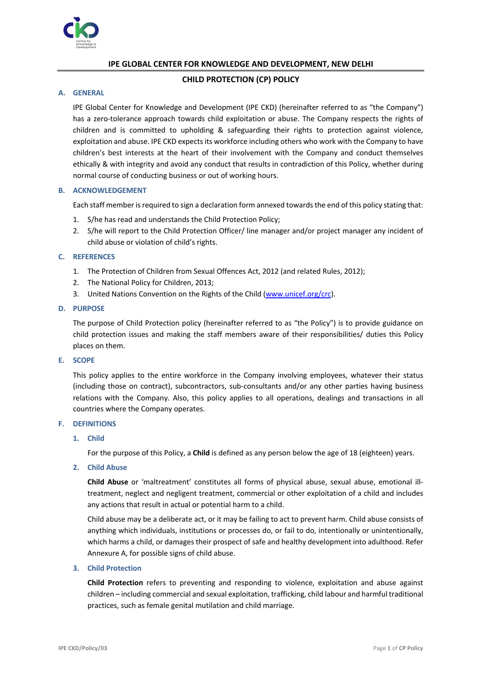

# **IPE GLOBAL CENTER FOR KNOWLEDGE AND DEVELOPMENT, NEW DELHI**

# **CHILD PROTECTION (CP) POLICY**

## **A. GENERAL**

IPE Global Center for Knowledge and Development (IPE CKD) (hereinafter referred to as "the Company") has a zero-tolerance approach towards child exploitation or abuse. The Company respects the rights of children and is committed to upholding & safeguarding their rights to protection against violence, exploitation and abuse. IPE CKD expects its workforce including others who work with the Company to have children's best interests at the heart of their involvement with the Company and conduct themselves ethically & with integrity and avoid any conduct that results in contradiction of this Policy, whether during normal course of conducting business or out of working hours.

# **B. ACKNOWLEDGEMENT**

Each staff member is required to sign a declaration form annexed towards the end of this policy stating that:

- 1. S/he has read and understands the Child Protection Policy;
- 2. S/he will report to the Child Protection Officer/ line manager and/or project manager any incident of child abuse or violation of child's rights.

## **C. REFERENCES**

- 1. The Protection of Children from Sexual Offences Act, 2012 (and related Rules, 2012);
- 2. The National Policy for Children, 2013;
- 3. United Nations Convention on the Rights of the Child (www.unicef.org/crc).

#### **D. PURPOSE**

The purpose of Child Protection policy (hereinafter referred to as "the Policy") is to provide guidance on child protection issues and making the staff members aware of their responsibilities/ duties this Policy places on them.

#### **E. SCOPE**

This policy applies to the entire workforce in the Company involving employees, whatever their status (including those on contract), subcontractors, sub-consultants and/or any other parties having business relations with the Company. Also, this policy applies to all operations, dealings and transactions in all countries where the Company operates.

## **F. DEFINITIONS**

# **1. Child**

For the purpose of this Policy, a **Child** is defined as any person below the age of 18 (eighteen) years.

#### **2. Child Abuse**

**Child Abuse** or 'maltreatment' constitutes all forms of physical abuse, sexual abuse, emotional illtreatment, neglect and negligent treatment, commercial or other exploitation of a child and includes any actions that result in actual or potential harm to a child.

Child abuse may be a deliberate act, or it may be failing to act to prevent harm. Child abuse consists of anything which individuals, institutions or processes do, or fail to do, intentionally or unintentionally, which harms a child, or damages their prospect of safe and healthy development into adulthood. Refer Annexure A, for possible signs of child abuse.

#### **3. Child Protection**

**Child Protection** refers to preventing and responding to violence, exploitation and abuse against children – including commercial and sexual exploitation, trafficking, child labour and harmful traditional practices, such as female genital mutilation and child marriage.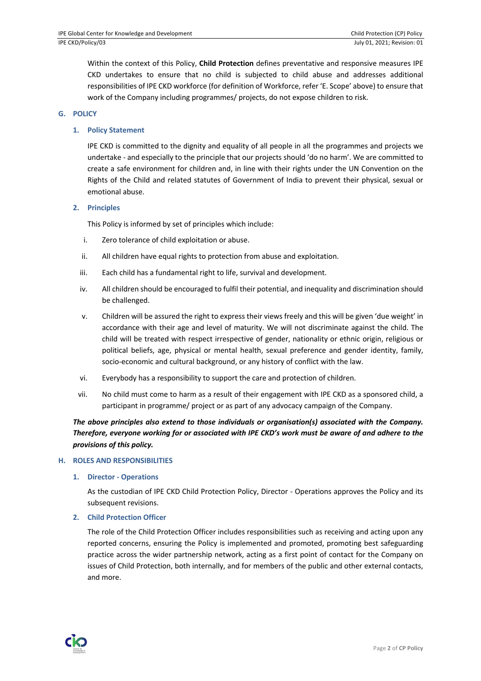Within the context of this Policy, **Child Protection** defines preventative and responsive measures IPE CKD undertakes to ensure that no child is subjected to child abuse and addresses additional responsibilities of IPE CKD workforce (for definition of Workforce, refer 'E. Scope' above) to ensure that work of the Company including programmes/ projects, do not expose children to risk.

# **G. POLICY**

# **1. Policy Statement**

IPE CKD is committed to the dignity and equality of all people in all the programmes and projects we undertake - and especially to the principle that our projects should 'do no harm'. We are committed to create a safe environment for children and, in line with their rights under the UN Convention on the Rights of the Child and related statutes of Government of India to prevent their physical, sexual or emotional abuse.

## **2. Principles**

This Policy is informed by set of principles which include:

- i. Zero tolerance of child exploitation or abuse.
- ii. All children have equal rights to protection from abuse and exploitation.
- iii. Each child has a fundamental right to life, survival and development.
- iv. All children should be encouraged to fulfil their potential, and inequality and discrimination should be challenged.
- v. Children will be assured the right to express their views freely and this will be given 'due weight' in accordance with their age and level of maturity. We will not discriminate against the child. The child will be treated with respect irrespective of gender, nationality or ethnic origin, religious or political beliefs, age, physical or mental health, sexual preference and gender identity, family, socio-economic and cultural background, or any history of conflict with the law.
- vi. Everybody has a responsibility to support the care and protection of children.
- vii. No child must come to harm as a result of their engagement with IPE CKD as a sponsored child, a participant in programme/ project or as part of any advocacy campaign of the Company.

# *The above principles also extend to those individuals or organisation(s) associated with the Company. Therefore, everyone working for or associated with IPE CKD's work must be aware of and adhere to the provisions of this policy.*

#### **H. ROLES AND RESPONSIBILITIES**

**1. Director - Operations**

As the custodian of IPE CKD Child Protection Policy, Director - Operations approves the Policy and its subsequent revisions.

#### **2. Child Protection Officer**

The role of the Child Protection Officer includes responsibilities such as receiving and acting upon any reported concerns, ensuring the Policy is implemented and promoted, promoting best safeguarding practice across the wider partnership network, acting as a first point of contact for the Company on issues of Child Protection, both internally, and for members of the public and other external contacts, and more.

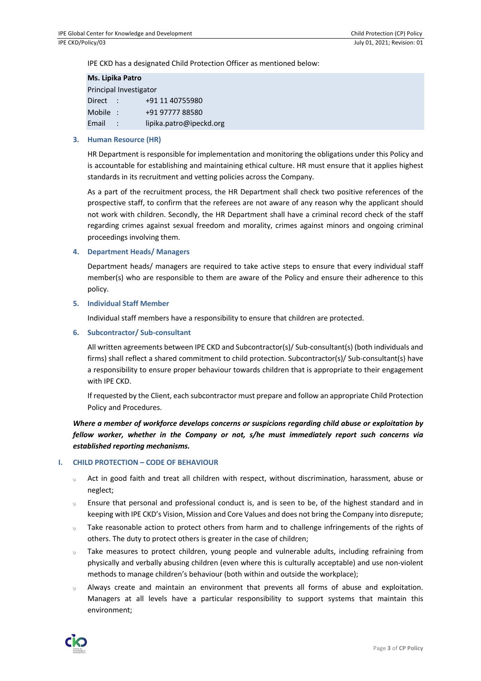IPE CKD has a designated Child Protection Officer as mentioned below:

| Ms. Lipika Patro       |           |                         |  |  |
|------------------------|-----------|-------------------------|--|--|
| Principal Investigator |           |                         |  |  |
| Direct                 |           | +91 11 40755980         |  |  |
| <b>Mobile</b>          | o estable | +91 97777 88580         |  |  |
| Email                  |           | lipika.patro@ipeckd.org |  |  |

# **3. Human Resource (HR)**

HR Department is responsible for implementation and monitoring the obligations under this Policy and is accountable for establishing and maintaining ethical culture. HR must ensure that it applies highest standards in its recruitment and vetting policies across the Company.

As a part of the recruitment process, the HR Department shall check two positive references of the prospective staff, to confirm that the referees are not aware of any reason why the applicant should not work with children. Secondly, the HR Department shall have a criminal record check of the staff regarding crimes against sexual freedom and morality, crimes against minors and ongoing criminal proceedings involving them.

# **4. Department Heads/ Managers**

Department heads/ managers are required to take active steps to ensure that every individual staff member(s) who are responsible to them are aware of the Policy and ensure their adherence to this policy.

## **5. Individual Staff Member**

Individual staff members have a responsibility to ensure that children are protected.

## **6. Subcontractor/ Sub-consultant**

All written agreements between IPE CKD and Subcontractor(s)/ Sub-consultant(s) (both individuals and firms) shall reflect a shared commitment to child protection. Subcontractor(s)/ Sub-consultant(s) have a responsibility to ensure proper behaviour towards children that is appropriate to their engagement with IPE CKD.

If requested by the Client, each subcontractor must prepare and follow an appropriate Child Protection Policy and Procedures.

*Where a member of workforce develops concerns or suspicions regarding child abuse or exploitation by fellow worker, whether in the Company or not, s/he must immediately report such concerns via established reporting mechanisms.*

# **I. CHILD PROTECTION – CODE OF BEHAVIOUR**

- Act in good faith and treat all children with respect, without discrimination, harassment, abuse or  $\omega$ neglect;
- Ensure that personal and professional conduct is, and is seen to be, of the highest standard and in  $\epsilon$ keeping with IPE CKD's Vision, Mission and Core Values and does not bring the Company into disrepute;
- Take reasonable action to protect others from harm and to challenge infringements of the rights of  $\mathfrak{S}$ others. The duty to protect others is greater in the case of children;
- Take measures to protect children, young people and vulnerable adults, including refraining from  $\Theta$ physically and verbally abusing children (even where this is culturally acceptable) and use non-violent methods to manage children's behaviour (both within and outside the workplace);
- Always create and maintain an environment that prevents all forms of abuse and exploitation. Managers at all levels have a particular responsibility to support systems that maintain this environment;

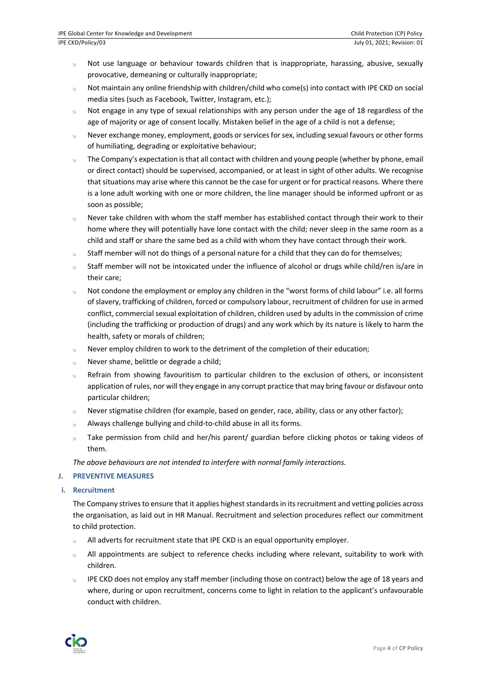- Not use language or behaviour towards children that is inappropriate, harassing, abusive, sexually  $\Theta$ provocative, demeaning or culturally inappropriate;
- Not maintain any online friendship with children/child who come(s) into contact with IPE CKD on social  $\Theta$ media sites (such as Facebook, Twitter, Instagram, etc.);
- $\ddot{\circ}$ Not engage in any type of sexual relationships with any person under the age of 18 regardless of the age of majority or age of consent locally. Mistaken belief in the age of a child is not a defense;
- Never exchange money, employment, goods or services for sex, including sexual favours or other forms  $\Theta$ of humiliating, degrading or exploitative behaviour;
- The Company's expectation is that all contact with children and young people (whether by phone, email  $\epsilon$ or direct contact) should be supervised, accompanied, or at least in sight of other adults. We recognise that situations may arise where this cannot be the case for urgent or for practical reasons. Where there is a lone adult working with one or more children, the line manager should be informed upfront or as soon as possible;
- Never take children with whom the staff member has established contact through their work to their  $\ddot{\circ}$ home where they will potentially have lone contact with the child; never sleep in the same room as a child and staff or share the same bed as a child with whom they have contact through their work.
- Staff member will not do things of a personal nature for a child that they can do for themselves;  $\Theta$
- Staff member will not be intoxicated under the influence of alcohol or drugs while child/ren is/are in  $\Theta$ their care;
- Not condone the employment or employ any children in the "worst forms of child labour" i.e. all forms  $\epsilon$ of slavery, trafficking of children, forced or compulsory labour, recruitment of children for use in armed conflict, commercial sexual exploitation of children, children used by adults in the commission of crime (including the trafficking or production of drugs) and any work which by its nature is likely to harm the health, safety or morals of children;
- Never employ children to work to the detriment of the completion of their education;  $\ddot{\circ}$
- Never shame, belittle or degrade a child;  $\circ$
- Refrain from showing favouritism to particular children to the exclusion of others, or inconsistent  $\mathfrak{S}$ application of rules, nor will they engage in any corrupt practice that may bring favour or disfavour onto particular children;
- Never stigmatise children (for example, based on gender, race, ability, class or any other factor);  $\Theta$
- Always challenge bullying and child-to-child abuse in all its forms.
- 9 Take permission from child and her/his parent/ guardian before clicking photos or taking videos of them.

*The above behaviours are not intended to interfere with normal family interactions.*

# **J. PREVENTIVE MEASURES**

**i. Recruitment**

The Company strives to ensure that it applies highest standards in its recruitment and vetting policies across the organisation, as laid out in HR Manual. Recruitment and selection procedures reflect our commitment to child protection.

- All adverts for recruitment state that IPE CKD is an equal opportunity employer.  $\Theta$
- All appointments are subject to reference checks including where relevant, suitability to work with  $\mathfrak{S}$ children.
- IPE CKD does not employ any staff member (including those on contract) below the age of 18 years and  $\Theta$ where, during or upon recruitment, concerns come to light in relation to the applicant's unfavourable conduct with children.

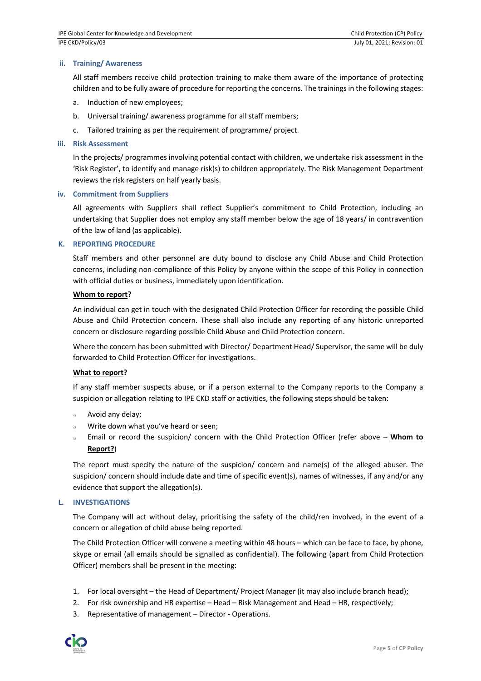# **ii. Training/ Awareness**

All staff members receive child protection training to make them aware of the importance of protecting children and to be fully aware of procedure for reporting the concerns. The trainings in the following stages:

- a. Induction of new employees;
- b. Universal training/ awareness programme for all staff members;
- c. Tailored training as per the requirement of programme/ project.

#### **iii. Risk Assessment**

In the projects/ programmes involving potential contact with children, we undertake risk assessment in the 'Risk Register', to identify and manage risk(s) to children appropriately. The Risk Management Department reviews the risk registers on half yearly basis.

#### **iv. Commitment from Suppliers**

All agreements with Suppliers shall reflect Supplier's commitment to Child Protection, including an undertaking that Supplier does not employ any staff member below the age of 18 years/ in contravention of the law of land (as applicable).

## **K. REPORTING PROCEDURE**

Staff members and other personnel are duty bound to disclose any Child Abuse and Child Protection concerns, including non-compliance of this Policy by anyone within the scope of this Policy in connection with official duties or business, immediately upon identification.

## **Whom to report?**

An individual can get in touch with the designated Child Protection Officer for recording the possible Child Abuse and Child Protection concern. These shall also include any reporting of any historic unreported concern or disclosure regarding possible Child Abuse and Child Protection concern.

Where the concern has been submitted with Director/ Department Head/ Supervisor, the same will be duly forwarded to Child Protection Officer for investigations.

#### **What to report?**

If any staff member suspects abuse, or if a person external to the Company reports to the Company a suspicion or allegation relating to IPE CKD staff or activities, the following steps should be taken:

- Avoid any delay;
- Write down what you've heard or seen;  $\ddot{\mathbf{c}}$
- Email or record the suspicion/ concern with the Child Protection Officer (refer above **Whom to Report?**)

The report must specify the nature of the suspicion/ concern and name(s) of the alleged abuser. The suspicion/ concern should include date and time of specific event(s), names of witnesses, if any and/or any evidence that support the allegation(s).

#### **L. INVESTIGATIONS**

The Company will act without delay, prioritising the safety of the child/ren involved, in the event of a concern or allegation of child abuse being reported.

The Child Protection Officer will convene a meeting within 48 hours – which can be face to face, by phone, skype or email (all emails should be signalled as confidential). The following (apart from Child Protection Officer) members shall be present in the meeting:

- 1. For local oversight the Head of Department/ Project Manager (it may also include branch head);
- 2. For risk ownership and HR expertise Head Risk Management and Head HR, respectively;
- 3. Representative of management Director Operations.

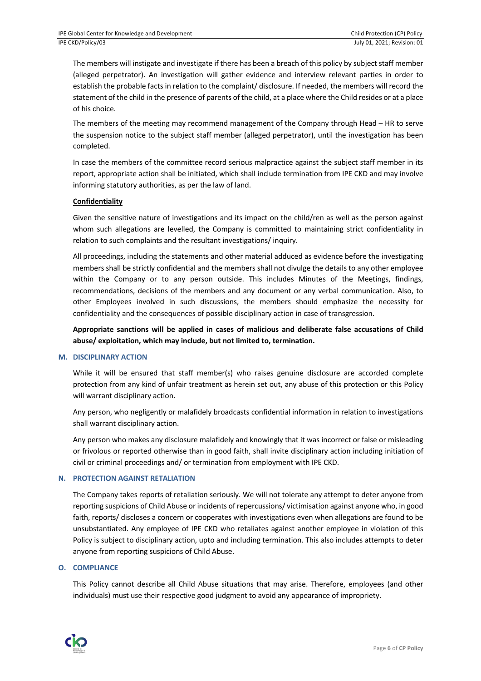The members will instigate and investigate if there has been a breach of this policy by subject staff member (alleged perpetrator). An investigation will gather evidence and interview relevant parties in order to establish the probable facts in relation to the complaint/ disclosure. If needed, the members will record the statement of the child in the presence of parents of the child, at a place where the Child resides or at a place of his choice.

The members of the meeting may recommend management of the Company through Head – HR to serve the suspension notice to the subject staff member (alleged perpetrator), until the investigation has been completed.

In case the members of the committee record serious malpractice against the subject staff member in its report, appropriate action shall be initiated, which shall include termination from IPE CKD and may involve informing statutory authorities, as per the law of land.

# **Confidentiality**

Given the sensitive nature of investigations and its impact on the child/ren as well as the person against whom such allegations are levelled, the Company is committed to maintaining strict confidentiality in relation to such complaints and the resultant investigations/ inquiry.

All proceedings, including the statements and other material adduced as evidence before the investigating members shall be strictly confidential and the members shall not divulge the details to any other employee within the Company or to any person outside. This includes Minutes of the Meetings, findings, recommendations, decisions of the members and any document or any verbal communication. Also, to other Employees involved in such discussions, the members should emphasize the necessity for confidentiality and the consequences of possible disciplinary action in case of transgression.

**Appropriate sanctions will be applied in cases of malicious and deliberate false accusations of Child abuse/ exploitation, which may include, but not limited to, termination.**

# **M. DISCIPLINARY ACTION**

While it will be ensured that staff member(s) who raises genuine disclosure are accorded complete protection from any kind of unfair treatment as herein set out, any abuse of this protection or this Policy will warrant disciplinary action.

Any person, who negligently or malafidely broadcasts confidential information in relation to investigations shall warrant disciplinary action.

Any person who makes any disclosure malafidely and knowingly that it was incorrect or false or misleading or frivolous or reported otherwise than in good faith, shall invite disciplinary action including initiation of civil or criminal proceedings and/ or termination from employment with IPE CKD.

# **N. PROTECTION AGAINST RETALIATION**

The Company takes reports of retaliation seriously. We will not tolerate any attempt to deter anyone from reporting suspicions of Child Abuse or incidents of repercussions/ victimisation against anyone who, in good faith, reports/ discloses a concern or cooperates with investigations even when allegations are found to be unsubstantiated. Any employee of IPE CKD who retaliates against another employee in violation of this Policy is subject to disciplinary action, upto and including termination. This also includes attempts to deter anyone from reporting suspicions of Child Abuse.

# **O. COMPLIANCE**

This Policy cannot describe all Child Abuse situations that may arise. Therefore, employees (and other individuals) must use their respective good judgment to avoid any appearance of impropriety.

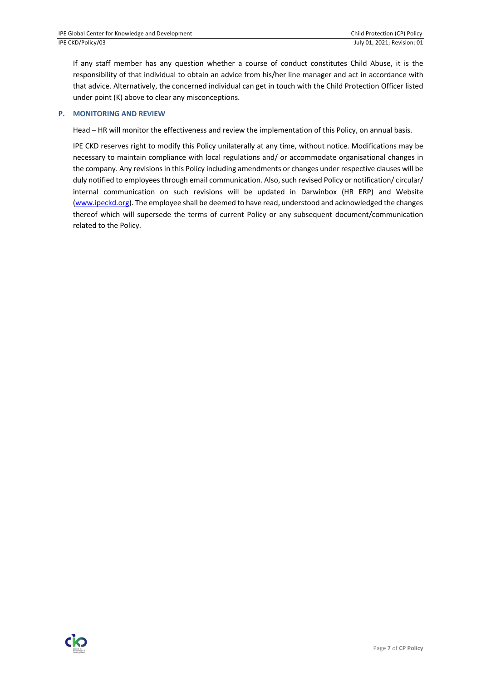If any staff member has any question whether a course of conduct constitutes Child Abuse, it is the responsibility of that individual to obtain an advice from his/her line manager and act in accordance with that advice. Alternatively, the concerned individual can get in touch with the Child Protection Officer listed under point (K) above to clear any misconceptions.

# **P. MONITORING AND REVIEW**

Head – HR will monitor the effectiveness and review the implementation of this Policy, on annual basis.

IPE CKD reserves right to modify this Policy unilaterally at any time, without notice. Modifications may be necessary to maintain compliance with local regulations and/ or accommodate organisational changes in the company. Any revisions in this Policy including amendments or changes under respective clauses will be duly notified to employees through email communication. Also, such revised Policy or notification/ circular/ internal communication on such revisions will be updated in Darwinbox (HR ERP) and Website (www.ipeckd.org). The employee shall be deemed to have read, understood and acknowledged the changes thereof which will supersede the terms of current Policy or any subsequent document/communication related to the Policy.

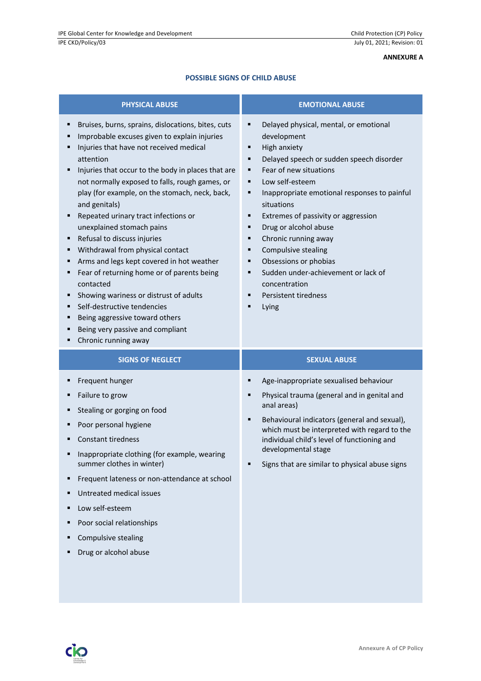# **ANNEXURE A**

# **POSSIBLE SIGNS OF CHILD ABUSE**

| <b>PHYSICAL ABUSE</b>                                                                                                                                                                                                                                                                                                                                                                                                                                                                                                                                                                                                                                                                                                                                                       | <b>EMOTIONAL ABUSE</b>                                                                                                                                                                                                                                                                                                                                                                                                                                                                                                         |  |
|-----------------------------------------------------------------------------------------------------------------------------------------------------------------------------------------------------------------------------------------------------------------------------------------------------------------------------------------------------------------------------------------------------------------------------------------------------------------------------------------------------------------------------------------------------------------------------------------------------------------------------------------------------------------------------------------------------------------------------------------------------------------------------|--------------------------------------------------------------------------------------------------------------------------------------------------------------------------------------------------------------------------------------------------------------------------------------------------------------------------------------------------------------------------------------------------------------------------------------------------------------------------------------------------------------------------------|--|
| Bruises, burns, sprains, dislocations, bites, cuts<br>п<br>Improbable excuses given to explain injuries<br>Injuries that have not received medical<br>attention<br>Injuries that occur to the body in places that are<br>not normally exposed to falls, rough games, or<br>play (for example, on the stomach, neck, back,<br>and genitals)<br>Repeated urinary tract infections or<br>unexplained stomach pains<br>Refusal to discuss injuries<br>Withdrawal from physical contact<br>Arms and legs kept covered in hot weather<br>٠<br>Fear of returning home or of parents being<br>contacted<br>Showing wariness or distrust of adults<br>٠<br>Self-destructive tendencies<br>Being aggressive toward others<br>Being very passive and compliant<br>Chronic running away | Delayed physical, mental, or emotional<br>٠<br>development<br>High anxiety<br>٠<br>Delayed speech or sudden speech disorder<br>٠<br>Fear of new situations<br>٠<br>Low self-esteem<br>٠<br>Inappropriate emotional responses to painful<br>٠<br>situations<br>Extremes of passivity or aggression<br>٠<br>Drug or alcohol abuse<br>٠<br>Chronic running away<br>٠<br>Compulsive stealing<br>Ξ<br>Obsessions or phobias<br>٠<br>Sudden under-achievement or lack of<br>٠<br>concentration<br>Persistent tiredness<br>٠<br>Lying |  |
| <b>SIGNS OF NEGLECT</b>                                                                                                                                                                                                                                                                                                                                                                                                                                                                                                                                                                                                                                                                                                                                                     | <b>SEXUAL ABUSE</b>                                                                                                                                                                                                                                                                                                                                                                                                                                                                                                            |  |
| Frequent hunger<br>Failure to grow<br>Stealing or gorging on food<br>Poor personal hygiene<br><b>Constant tiredness</b><br>" Inappropriate clothing (for example, wearing<br>summer clothes in winter)<br>Frequent lateness or non-attendance at school<br>Untreated medical issues<br>Low self-esteem<br>п<br>Poor social relationships<br>Compulsive stealing<br>Drug or alcohol abuse                                                                                                                                                                                                                                                                                                                                                                                    | Age-inappropriate sexualised behaviour<br>Physical trauma (general and in genital and<br>п<br>anal areas)<br>Behavioural indicators (general and sexual),<br>٠<br>which must be interpreted with regard to the<br>individual child's level of functioning and<br>developmental stage<br>Signs that are similar to physical abuse signs                                                                                                                                                                                         |  |